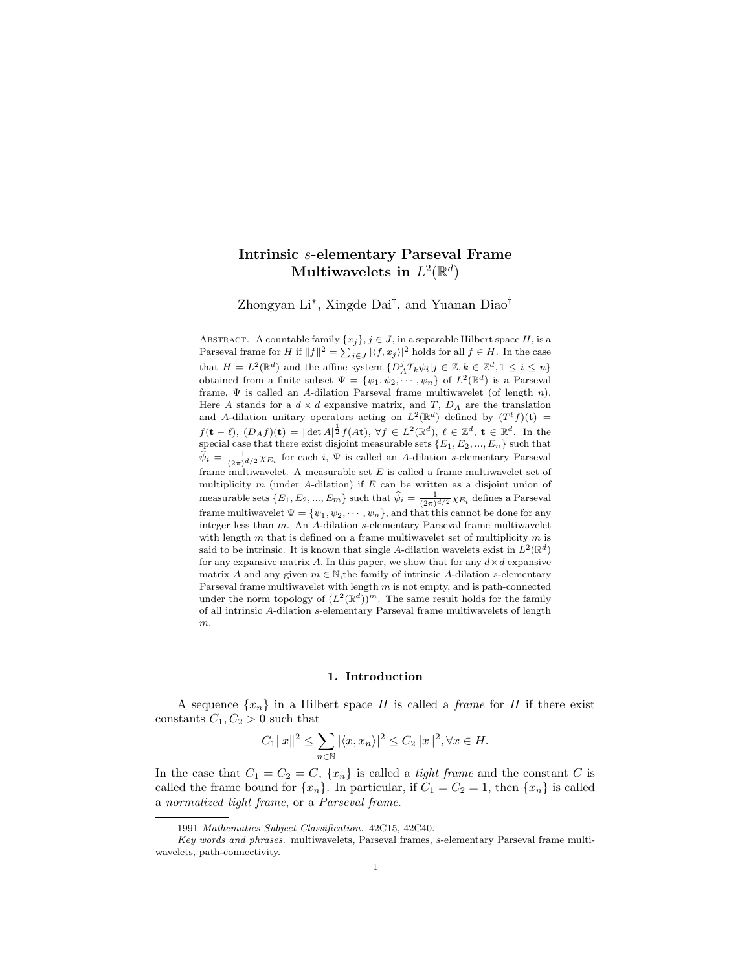# Intrinsic s-elementary Parseval Frame Multiwavelets in  $L^2(\mathbb{R}^d)$

Zhongyan Li<sup>∗</sup> , Xingde Dai† , and Yuanan Diao†

ABSTRACT. A countable family  $\{x_j\}, j \in J$ , in a separable Hilbert space H, is a Parseval frame for H if  $||f||^2 = \sum_{j\in J} |\langle f, x_j \rangle|^2$  holds for all  $f \in H$ . In the case that  $H = L^2(\mathbb{R}^d)$  and the affine system  $\{D_A^j T_k \psi_i | j \in \mathbb{Z}, k \in \mathbb{Z}^d, 1 \leq i \leq n\}$ obtained from a finite subset  $\Psi = {\psi_1, \psi_2, \cdots, \psi_n}$  of  $L^2(\mathbb{R}^d)$  is a Parseval frame,  $\Psi$  is called an A-dilation Parseval frame multiwavelet (of length n). Here A stands for a  $d \times d$  expansive matrix, and T,  $D_A$  are the translation and A-dilation unitary operators acting on  $L^2(\mathbb{R}^d)$  defined by  $(T^{\ell} f)(t) =$  $f(\mathbf{t} - \ell), (D_A f)(\mathbf{t}) = |\det A|^{\frac{1}{2}} f(A\mathbf{t}), \forall f \in L^2(\mathbb{R}^d), \ell \in \mathbb{Z}^d, \mathbf{t} \in \mathbb{R}^d.$  In the special case that there exist disjoint measurable sets  $\{E_1, E_2, ..., E_n\}$  such that  $\hat{\psi}_i = \frac{1}{(2\pi)^{d/2}} \chi_{E_i}$  for each i,  $\Psi$  is called an A-dilation s-elementary Parseval frame multiwavelet. A measurable set  $E$  is called a frame multiwavelet set of multiplicity  $m$  (under A-dilation) if  $E$  can be written as a disjoint union of measurable sets  $\{E_1, E_2, ..., E_m\}$  such that  $\hat{\psi}_i = \frac{1}{(2\pi)^{d/2}} \chi_{E_i}$  defines a Parseval frame multiwavelet  $\Psi = {\psi_1, \psi_2, \cdots, \psi_n}$ , and that this cannot be done for any integer less than m. An A-dilation s-elementary Parseval frame multiwavelet with length  $m$  that is defined on a frame multiwavelet set of multiplicity  $m$  is said to be intrinsic. It is known that single A-dilation wavelets exist in  $L^2(\mathbb{R}^d)$ for any expansive matrix A. In this paper, we show that for any  $d \times d$  expansive matrix A and any given  $m \in \mathbb{N}$ , the family of intrinsic A-dilation s-elementary Parseval frame multiwavelet with length  $m$  is not empty, and is path-connected under the norm topology of  $(L^2(\mathbb{R}^d))^m$ . The same result holds for the family of all intrinsic A-dilation s-elementary Parseval frame multiwavelets of length m.

#### 1. Introduction

A sequence  $\{x_n\}$  in a Hilbert space H is called a *frame* for H if there exist constants  $C_1, C_2 > 0$  such that

$$
C_1 ||x||^2 \le \sum_{n \in \mathbb{N}} |\langle x, x_n \rangle|^2 \le C_2 ||x||^2, \forall x \in H.
$$

In the case that  $C_1 = C_2 = C$ ,  $\{x_n\}$  is called a *tight frame* and the constant C is called the frame bound for  $\{x_n\}$ . In particular, if  $C_1 = C_2 = 1$ , then  $\{x_n\}$  is called a normalized tight frame, or a Parseval frame.

<sup>1991</sup> Mathematics Subject Classification. 42C15, 42C40.

Key words and phrases. multiwavelets, Parseval frames, s-elementary Parseval frame multiwavelets, path-connectivity.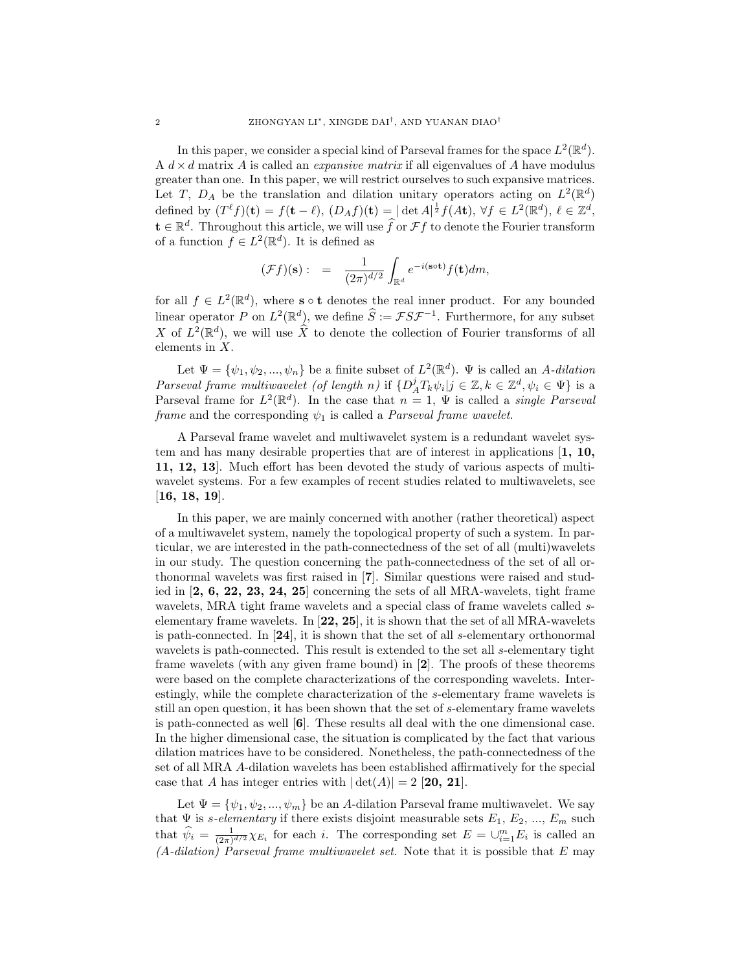In this paper, we consider a special kind of Parseval frames for the space  $L^2(\mathbb{R}^d)$ . A  $d \times d$  matrix A is called an *expansive matrix* if all eigenvalues of A have modulus greater than one. In this paper, we will restrict ourselves to such expansive matrices. Let T,  $D_A$  be the translation and dilation unitary operators acting on  $L^2(\mathbb{R}^d)$ defined by  $(T^{\ell} f)(\mathbf{t}) = f(\mathbf{t} - \ell), (D_A f)(\mathbf{t}) = |\det A|^{\frac{1}{2}} f(A\mathbf{t}), \forall f \in L^2(\mathbb{R}^d), \ell \in \mathbb{Z}^d,$  $\mathbf{t} \in \mathbb{R}^d$ . Throughout this article, we will use  $\widehat{f}$  or  $\mathcal{F}f$  to denote the Fourier transform of a function  $f \in L^2(\mathbb{R}^d)$ . It is defined as

$$
(\mathcal{F}f)(\mathbf{s}): = \frac{1}{(2\pi)^{d/2}} \int_{\mathbb{R}^d} e^{-i(\mathbf{s} \circ \mathbf{t})} f(\mathbf{t}) dm,
$$

for all  $f \in L^2(\mathbb{R}^d)$ , where **s**  $\circ$  **t** denotes the real inner product. For any bounded linear operator P on  $L^2(\mathbb{R}^d)$ , we define  $\widehat{S} := \mathcal{FSF}^{-1}$ . Furthermore, for any subset X of  $L^2(\mathbb{R}^d)$ , we will use  $\widehat{X}$  to denote the collection of Fourier transforms of all elements in X.

Let  $\Psi = {\psi_1, \psi_2, ..., \psi_n}$  be a finite subset of  $L^2(\mathbb{R}^d)$ .  $\Psi$  is called an A-dilation Parseval frame multiwavelet (of length n) if  $\{D_A^j T_k \psi_i | j \in \mathbb{Z}, k \in \mathbb{Z}^d, \psi_i \in \Psi\}$  is a Parseval frame for  $L^2(\mathbb{R}^d)$ . In the case that  $n=1, \Psi$  is called a *single Parseval* frame and the corresponding  $\psi_1$  is called a *Parseval frame wavelet.* 

A Parseval frame wavelet and multiwavelet system is a redundant wavelet system and has many desirable properties that are of interest in applications  $\left[1, 10, \right]$ 11, 12, 13]. Much effort has been devoted the study of various aspects of multiwavelet systems. For a few examples of recent studies related to multiwavelets, see [16, 18, 19].

In this paper, we are mainly concerned with another (rather theoretical) aspect of a multiwavelet system, namely the topological property of such a system. In particular, we are interested in the path-connectedness of the set of all (multi)wavelets in our study. The question concerning the path-connectedness of the set of all orthonormal wavelets was first raised in [7]. Similar questions were raised and studied in  $[2, 6, 22, 23, 24, 25]$  concerning the sets of all MRA-wavelets, tight frame wavelets, MRA tight frame wavelets and a special class of frame wavelets called selementary frame wavelets. In  $[22, 25]$ , it is shown that the set of all MRA-wavelets is path-connected. In [24], it is shown that the set of all s-elementary orthonormal wavelets is path-connected. This result is extended to the set all s-elementary tight frame wavelets (with any given frame bound) in [2]. The proofs of these theorems were based on the complete characterizations of the corresponding wavelets. Interestingly, while the complete characterization of the s-elementary frame wavelets is still an open question, it has been shown that the set of s-elementary frame wavelets is path-connected as well [6]. These results all deal with the one dimensional case. In the higher dimensional case, the situation is complicated by the fact that various dilation matrices have to be considered. Nonetheless, the path-connectedness of the set of all MRA A-dilation wavelets has been established affirmatively for the special case that A has integer entries with  $|\det(A)| = 2$  [20, 21].

Let  $\Psi = {\psi_1, \psi_2, ..., \psi_m}$  be an A-dilation Parseval frame multiwavelet. We say that  $\Psi$  is *s*-elementary if there exists disjoint measurable sets  $E_1, E_2, ..., E_m$  such that  $\hat{\psi}_i = \frac{1}{(2\pi)^{d/2}} \chi_{E_i}$  for each i. The corresponding set  $E = \bigcup_{i=1}^m E_i$  is called an  $(A\text{-}dilation)$  Parseval frame multiwavelet set. Note that it is possible that E may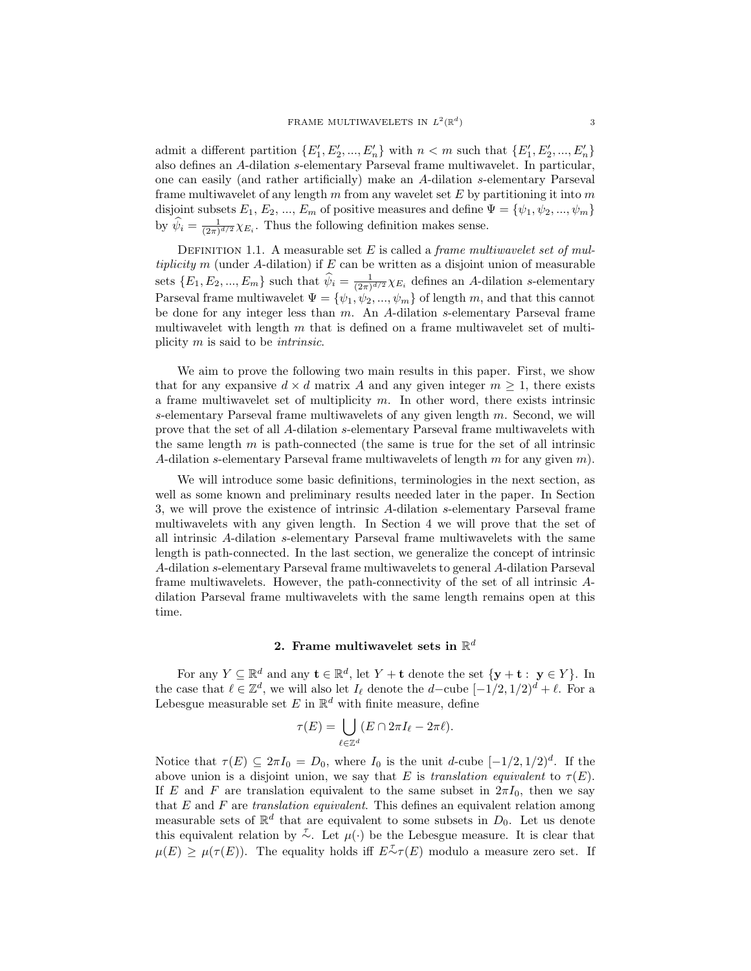admit a different partition  $\{E'_1, E'_2, ..., E'_n\}$  with  $n < m$  such that  $\{E'_1, E'_2, ..., E'_n\}$ also defines an A-dilation s-elementary Parseval frame multiwavelet. In particular, one can easily (and rather artificially) make an A-dilation s-elementary Parseval frame multiwavelet of any length  $m$  from any wavelet set  $E$  by partitioning it into  $m$ disjoint subsets  $E_1, E_2, ..., E_m$  of positive measures and define  $\Psi = {\psi_1, \psi_2, ..., \psi_m}$ by  $\hat{\psi}_i = \frac{1}{(2\pi)^{d/2}} \chi_{E_i}$ . Thus the following definition makes sense.

DEFINITION 1.1. A measurable set  $E$  is called a *frame multiwavelet set of mul*tiplicity m (under A-dilation) if  $E$  can be written as a disjoint union of measurable sets  $\{E_1, E_2, ..., E_m\}$  such that  $\hat{\psi}_i = \frac{1}{(2\pi)^{d/2}} \chi_{E_i}$  defines an A-dilation s-elementary Parseval frame multiwavelet  $\Psi = {\psi_1, \psi_2, ..., \psi_m}$  of length m, and that this cannot be done for any integer less than  $m$ . An A-dilation s-elementary Parseval frame multiwavelet with length  $m$  that is defined on a frame multiwavelet set of multiplicity  $m$  is said to be *intrinsic*.

We aim to prove the following two main results in this paper. First, we show that for any expansive  $d \times d$  matrix A and any given integer  $m \geq 1$ , there exists a frame multiwavelet set of multiplicity  $m$ . In other word, there exists intrinsic s-elementary Parseval frame multiwavelets of any given length m. Second, we will prove that the set of all A-dilation s-elementary Parseval frame multiwavelets with the same length  $m$  is path-connected (the same is true for the set of all intrinsic A-dilation s-elementary Parseval frame multiwavelets of length  $m$  for any given  $m$ ).

We will introduce some basic definitions, terminologies in the next section, as well as some known and preliminary results needed later in the paper. In Section 3, we will prove the existence of intrinsic A-dilation s-elementary Parseval frame multiwavelets with any given length. In Section 4 we will prove that the set of all intrinsic A-dilation s-elementary Parseval frame multiwavelets with the same length is path-connected. In the last section, we generalize the concept of intrinsic A-dilation s-elementary Parseval frame multiwavelets to general A-dilation Parseval frame multiwavelets. However, the path-connectivity of the set of all intrinsic Adilation Parseval frame multiwavelets with the same length remains open at this time.

## 2. Frame multiwavelet sets in  $\mathbb{R}^d$

For any  $Y \subseteq \mathbb{R}^d$  and any  $\mathbf{t} \in \mathbb{R}^d$ , let  $Y + \mathbf{t}$  denote the set  $\{y + \mathbf{t} : y \in Y\}$ . In the case that  $\ell \in \mathbb{Z}^d$ , we will also let  $I_\ell$  denote the  $d$ -cube  $[-1/2, 1/2)^d + \ell$ . For a Lebesgue measurable set E in  $\mathbb{R}^d$  with finite measure, define

$$
\tau(E) = \bigcup_{\ell \in \mathbb{Z}^d} (E \cap 2\pi I_\ell - 2\pi \ell).
$$

Notice that  $\tau(E) \subseteq 2\pi I_0 = D_0$ , where  $I_0$  is the unit d-cube  $[-1/2, 1/2]^d$ . If the above union is a disjoint union, we say that E is translation equivalent to  $\tau(E)$ . If E and F are translation equivalent to the same subset in  $2\pi I_0$ , then we say that  $E$  and  $F$  are translation equivalent. This defines an equivalent relation among measurable sets of  $\mathbb{R}^d$  that are equivalent to some subsets in  $D_0$ . Let us denote this equivalent relation by  $\overline{\sim}$ . Let  $\mu(\cdot)$  be the Lebesgue measure. It is clear that  $\mu(E) \geq \mu(\tau(E))$ . The equality holds iff  $E^{\tau}(\tau(E))$  modulo a measure zero set. If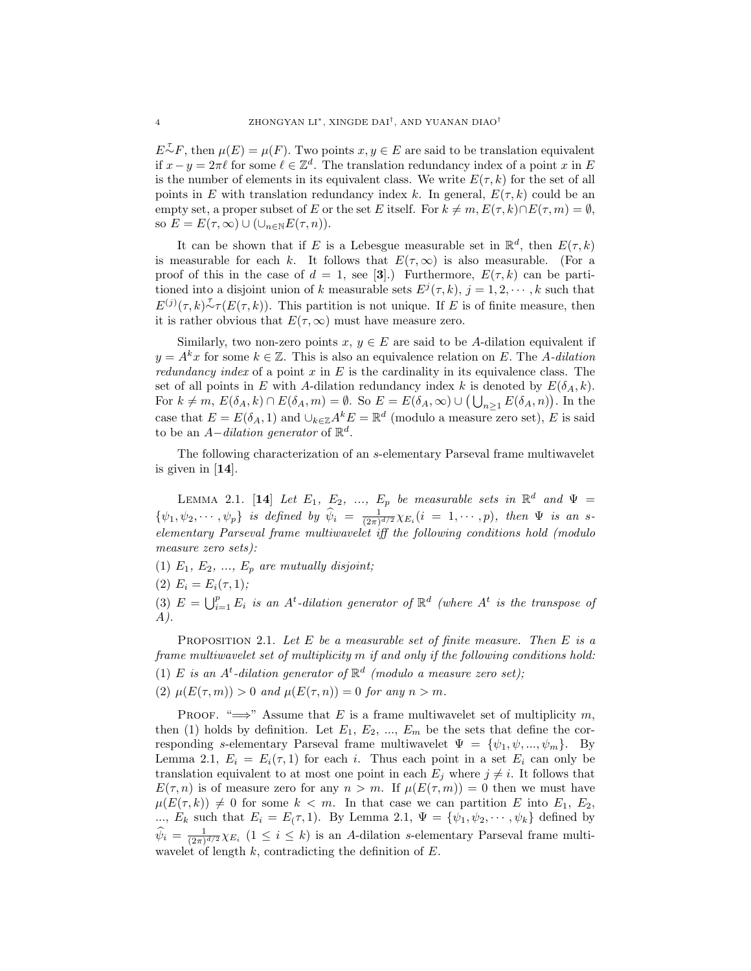$E^{\mathcal{T}}F$ , then  $\mu(E) = \mu(F)$ . Two points  $x, y \in E$  are said to be translation equivalent if  $x - y = 2\pi \ell$  for some  $\ell \in \mathbb{Z}^d$ . The translation redundancy index of a point x in E is the number of elements in its equivalent class. We write  $E(\tau, k)$  for the set of all points in E with translation redundancy index k. In general,  $E(\tau, k)$  could be an empty set, a proper subset of E or the set E itself. For  $k \neq m$ ,  $E(\tau, k) \cap E(\tau, m) = \emptyset$ , so  $E = E(\tau, \infty) \cup (\cup_{n \in \mathbb{N}} E(\tau, n)).$ 

It can be shown that if E is a Lebesgue measurable set in  $\mathbb{R}^d$ , then  $E(\tau, k)$ is measurable for each k. It follows that  $E(\tau,\infty)$  is also measurable. (For a proof of this in the case of  $d = 1$ , see [3].) Furthermore,  $E(\tau, k)$  can be partitioned into a disjoint union of k measurable sets  $E^{j}(\tau, k)$ ,  $j = 1, 2, \dots, k$  such that  $E^{(j)}(\tau, k) \sim \tau(E(\tau, k))$ . This partition is not unique. If E is of finite measure, then it is rather obvious that  $E(\tau, \infty)$  must have measure zero.

Similarly, two non-zero points  $x, y \in E$  are said to be A-dilation equivalent if  $y = A^k x$  for some  $k \in \mathbb{Z}$ . This is also an equivalence relation on E. The A-dilation redundancy index of a point  $x$  in  $E$  is the cardinality in its equivalence class. The set of all points in E with A-dilation redundancy index k is denoted by  $E(\delta_A, k)$ . For  $k \neq m$ ,  $E(\delta_A, k) \cap E(\delta_A, m) = \emptyset$ . So  $E = E(\delta_A, \infty) \cup (\bigcup_{n \geq 1} E(\delta_A, n))$ . In the case that  $E = E(\delta_A, 1)$  and  $\cup_{k \in \mathbb{Z}} A^k E = \mathbb{R}^d$  (modulo a measure zero set), E is said to be an *A* $-dilation$  generator of  $\mathbb{R}^d$ .

The following characterization of an s-elementary Parseval frame multiwavelet is given in [14].

LEMMA 2.1. [14] Let  $E_1$ ,  $E_2$ , ...,  $E_p$  be measurable sets in  $\mathbb{R}^d$  and  $\Psi =$  $\{\psi_1, \psi_2, \cdots, \psi_p\}$  is defined by  $\widehat{\psi}_i = \frac{1}{(2\pi)^{d/2}} \chi_{E_i}(i = 1, \cdots, p)$ , then  $\Psi$  is an selementary Parseval frame multiwavelet iff the following conditions hold (modulo measure zero sets):

(1)  $E_1, E_2, ..., E_p$  are mutually disjoint;

(2)  $E_i = E_i(\tau, 1);$ 

(3)  $E = \bigcup_{i=1}^{p} E_i$  is an A<sup>t</sup>-dilation generator of  $\mathbb{R}^d$  (where A<sup>t</sup> is the transpose of A).

PROPOSITION 2.1. Let  $E$  be a measurable set of finite measure. Then  $E$  is a frame multiwavelet set of multiplicity m if and only if the following conditions hold: (1) E is an  $A<sup>t</sup>$ -dilation generator of  $\mathbb{R}^d$  (modulo a measure zero set); (2)  $\mu(E(\tau,m)) > 0$  and  $\mu(E(\tau,n)) = 0$  for any  $n > m$ .

PROOF. " $\Longrightarrow$ " Assume that E is a frame multiwavelet set of multiplicity m, then (1) holds by definition. Let  $E_1, E_2, ..., E_m$  be the sets that define the corresponding s-elementary Parseval frame multiwavelet  $\Psi = {\psi_1, \psi, ..., \psi_m}$ . By Lemma 2.1,  $E_i = E_i(\tau, 1)$  for each i. Thus each point in a set  $E_i$  can only be translation equivalent to at most one point in each  $E_j$  where  $j \neq i$ . It follows that  $E(\tau, n)$  is of measure zero for any  $n > m$ . If  $\mu(E(\tau, m)) = 0$  then we must have  $\mu(E(\tau, k)) \neq 0$  for some  $k < m$ . In that case we can partition E into  $E_1, E_2$ , ...,  $E_k$  such that  $E_i = E(\tau, 1)$ . By Lemma 2.1,  $\Psi = {\psi_1, \psi_2, \cdots, \psi_k}$  defined by  $\hat{\psi}_i = \frac{1}{(2\pi)^{d/2}} \chi_{E_i}$   $(1 \leq i \leq k)$  is an A-dilation s-elementary Parseval frame multiwavelet of length  $k$ , contradicting the definition of  $E$ .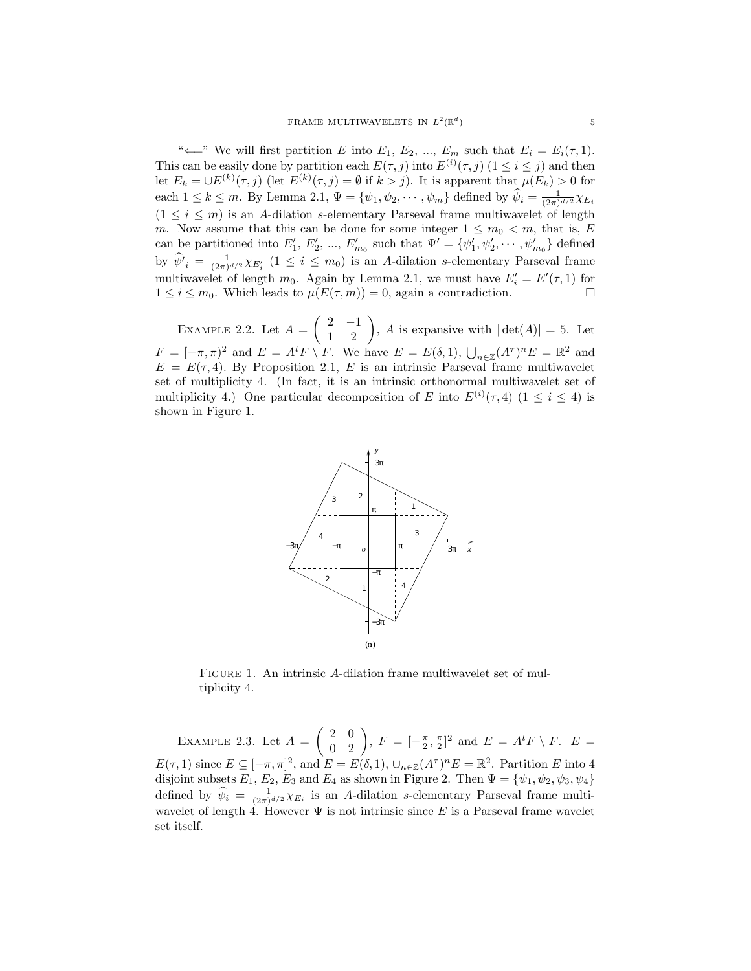" $\Longleftarrow$ " We will first partition E into E<sub>1</sub>, E<sub>2</sub>, ..., E<sub>m</sub> such that E<sub>i</sub> = E<sub>i</sub>( $\tau$ , 1). This can be easily done by partition each  $E(\tau, j)$  into  $E^{(i)}(\tau, j)$   $(1 \leq i \leq j)$  and then let  $E_k = \bigcup E^{(k)}(\tau, j)$  (let  $E^{(k)}(\tau, j) = \emptyset$  if  $k > j$ ). It is apparent that  $\mu(E_k) > 0$  for each  $1 \leq k \leq m$ . By Lemma 2.1,  $\Psi = \{\psi_1, \psi_2, \cdots, \psi_m\}$  defined by  $\widehat{\psi}_i = \frac{1}{(2\pi)^{d/2}} \chi_{E_i}$  $(1 \leq i \leq m)$  is an A-dilation s-elementary Parseval frame multiwavelet of length m. Now assume that this can be done for some integer  $1 \leq m_0 < m$ , that is, E can be partitioned into  $E'_1, E'_2, ..., E'_{m_0}$  such that  $\Psi' = {\psi'_1, \psi'_2, ..., \psi'_{m_0}}$  defined by  $\hat{\psi'}_i = \frac{1}{(2\pi)^{d/2}} \chi_{E'_i}$   $(1 \leq i \leq m_0)$  is an A-dilation s-elementary Parseval frame multiwavelet of length  $m_0$ . Again by Lemma 2.1, we must have  $E'_i = E'(\tau, 1)$  for  $1 \leq i \leq m_0$ . Which leads to  $\mu(E(\tau,m)) = 0$ , again a contradiction.

EXAMPLE 2.2. Let  $A =$  $\begin{pmatrix} 2 & -1 \\ 1 & 2 \end{pmatrix}$ , A is expansive with  $|\det(A)| = 5$ . Let  $F = [-\pi, \pi)^2$  and  $E = A^t F \setminus F$ . We have  $E = E(\delta, 1)$ ,  $\bigcup_{n \in \mathbb{Z}} (A^{\tau})^n E = \mathbb{R}^2$  and  $E = E(\tau, 4)$ . By Proposition 2.1, E is an intrinsic Parseval frame multiwavelet set of multiplicity 4. (In fact, it is an intrinsic orthonormal multiwavelet set of multiplicity 4.) One particular decomposition of E into  $E^{(i)}(\tau, 4)$  ( $1 \leq i \leq 4$ ) is shown in Figure 1.



FIGURE 1. An intrinsic A-dilation frame multiwavelet set of multiplicity 4.

EXAMPLE 2.3. Let  $A =$  $\begin{pmatrix} 2 & 0 \\ 0 & 2 \end{pmatrix}$ ,  $F = [-\frac{\pi}{2}, \frac{\pi}{2}]^2$  and  $E = A^t F \setminus F$ .  $E =$  $E(\tau,1)$  since  $E \subseteq [-\pi,\pi]^2$ , and  $E = E(\delta,1)$ ,  $\cup_{n \in \mathbb{Z}} (A^{\tau})^n E = \mathbb{R}^2$ . Partition E into 4 disjoint subsets  $E_1, E_2, E_3$  and  $E_4$  as shown in Figure 2. Then  $\Psi = {\psi_1, \psi_2, \psi_3, \psi_4}$ defined by  $\hat{\psi}_i = \frac{1}{(2\pi)^{d/2}} \chi_{E_i}$  is an A-dilation s-elementary Parseval frame multiwavelet of length 4. However  $\Psi$  is not intrinsic since E is a Parseval frame wavelet set itself.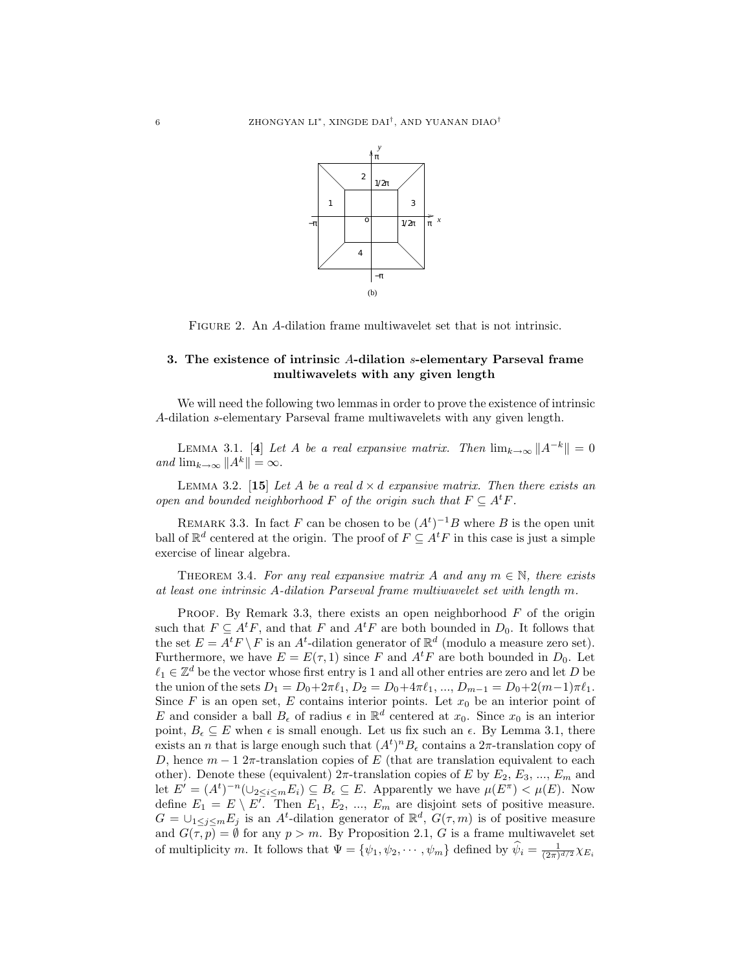

FIGURE 2. An A-dilation frame multiwavelet set that is not intrinsic.

## 3. The existence of intrinsic A-dilation s-elementary Parseval frame multiwavelets with any given length

We will need the following two lemmas in order to prove the existence of intrinsic A-dilation s-elementary Parseval frame multiwavelets with any given length.

LEMMA 3.1. [4] Let A be a real expansive matrix. Then  $\lim_{k\to\infty}||A^{-k}||=0$ and  $\lim_{k\to\infty} ||A^k|| = \infty$ .

LEMMA 3.2. [15] Let A be a real  $d \times d$  expansive matrix. Then there exists an open and bounded neighborhood F of the origin such that  $F \subseteq A^t F$ .

REMARK 3.3. In fact F can be chosen to be  $(A<sup>t</sup>)<sup>-1</sup>B$  where B is the open unit ball of  $\mathbb{R}^d$  centered at the origin. The proof of  $F \subseteq A^t F$  in this case is just a simple exercise of linear algebra.

THEOREM 3.4. For any real expansive matrix A and any  $m \in \mathbb{N}$ , there exists at least one intrinsic A-dilation Parseval frame multiwavelet set with length m.

PROOF. By Remark 3.3, there exists an open neighborhood  $F$  of the origin such that  $F \subseteq A^t F$ , and that F and  $A^t F$  are both bounded in  $D_0$ . It follows that the set  $E = A^t F \setminus F$  is an  $A^t$ -dilation generator of  $\mathbb{R}^d$  (modulo a measure zero set). Furthermore, we have  $E = E(\tau, 1)$  since F and  $A<sup>t</sup>F$  are both bounded in  $D_0$ . Let  $\ell_1 \in \mathbb{Z}^d$  be the vector whose first entry is 1 and all other entries are zero and let D be the union of the sets  $D_1 = D_0 + 2\pi \ell_1$ ,  $D_2 = D_0 + 4\pi \ell_1$ , ...,  $D_{m-1} = D_0 + 2(m-1)\pi \ell_1$ . Since  $F$  is an open set,  $E$  contains interior points. Let  $x_0$  be an interior point of E and consider a ball  $B_{\epsilon}$  of radius  $\epsilon$  in  $\mathbb{R}^{d}$  centered at  $x_0$ . Since  $x_0$  is an interior point,  $B_{\epsilon} \subset E$  when  $\epsilon$  is small enough. Let us fix such an  $\epsilon$ . By Lemma 3.1, there exists an *n* that is large enough such that  $(A<sup>t</sup>)<sup>n</sup>B<sub>ε</sub>$  contains a  $2\pi$ -translation copy of D, hence  $m-1$  2π-translation copies of E (that are translation equivalent to each other). Denote these (equivalent)  $2\pi$ -translation copies of E by  $E_2, E_3, ..., E_m$  and let  $E' = (A^t)^{-n}(\cup_{2 \le i \le m} E_i) \subseteq B_{\epsilon} \subseteq E$ . Apparently we have  $\mu(E^{\pi}) < \mu(E)$ . Now define  $E_1 = E \setminus E^T$ . Then  $E_1, E_2, ..., E_m$  are disjoint sets of positive measure.  $G = \bigcup_{1 \leq j \leq m} E_j$  is an A<sup>t</sup>-dilation generator of  $\mathbb{R}^d$ ,  $G(\tau, m)$  is of positive measure and  $G(\tau, p) = \emptyset$  for any  $p > m$ . By Proposition 2.1, G is a frame multiwavelet set of multiplicity m. It follows that  $\Psi = \{\psi_1, \psi_2, \cdots, \psi_m\}$  defined by  $\widehat{\psi}_i = \frac{1}{(2\pi)^{d/2}} \chi_{E_i}$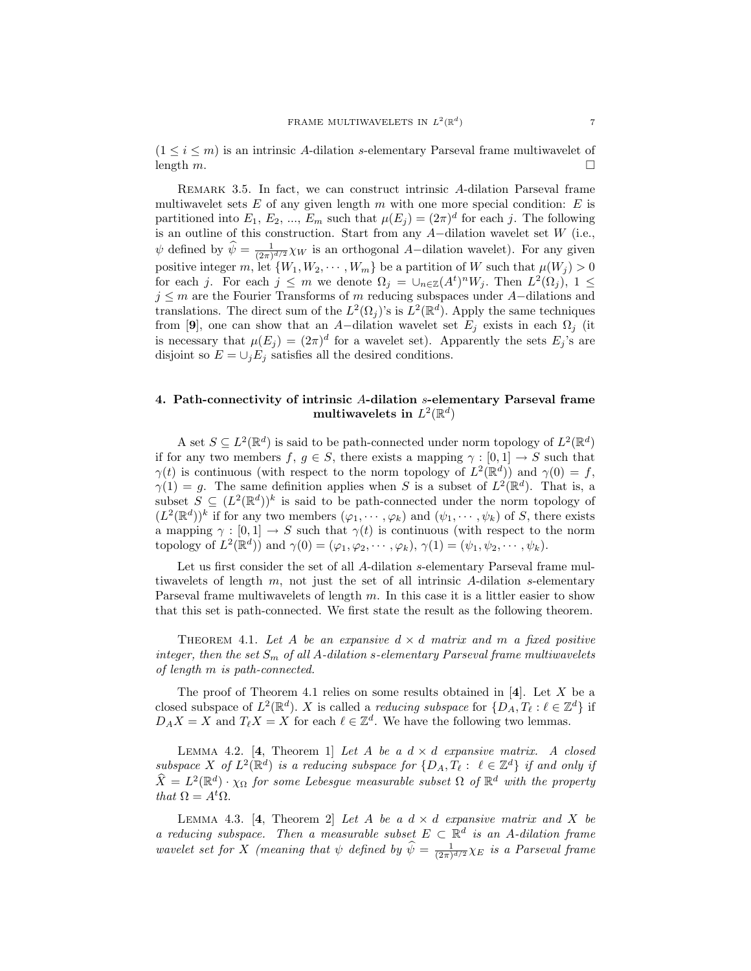$(1 \leq i \leq m)$  is an intrinsic A-dilation s-elementary Parseval frame multiwavelet of length  $m$ .

REMARK 3.5. In fact, we can construct intrinsic A-dilation Parseval frame multiwavelet sets  $E$  of any given length  $m$  with one more special condition:  $E$  is partitioned into  $E_1, E_2, ..., E_m$  such that  $\mu(E_j) = (2\pi)^d$  for each j. The following is an outline of this construction. Start from any A−dilation wavelet set W (i.e.,  $\psi$  defined by  $\widehat{\psi} = \frac{1}{(2\pi)^{d/2}} \chi_W$  is an orthogonal A-dilation wavelet). For any given positive integer m, let  $\{W_1, W_2, \cdots, W_m\}$  be a partition of W such that  $\mu(W_j) > 0$ for each j. For each  $j \leq m$  we denote  $\Omega_j = \cup_{n \in \mathbb{Z}} (A^t)^n W_j$ . Then  $L^2(\Omega_j)$ ,  $1 \leq$  $j \leq m$  are the Fourier Transforms of m reducing subspaces under A-dilations and translations. The direct sum of the  $L^2(\Omega_j)$ 's is  $L^2(\mathbb{R}^d)$ . Apply the same techniques from [9], one can show that an A-dilation wavelet set  $E_i$  exists in each  $\Omega_i$  (it is necessary that  $\mu(E_j) = (2\pi)^d$  for a wavelet set). Apparently the sets  $E_j$ 's are disjoint so  $E = \bigcup_j E_j$  satisfies all the desired conditions.

### 4. Path-connectivity of intrinsic A-dilation s-elementary Parseval frame multiwavelets in  $L^2(\mathbb{R}^d)$

A set  $S \subseteq L^2(\mathbb{R}^d)$  is said to be path-connected under norm topology of  $L^2(\mathbb{R}^d)$ if for any two members f,  $g \in S$ , there exists a mapping  $\gamma : [0,1] \to S$  such that  $\gamma(t)$  is continuous (with respect to the norm topology of  $L^2(\mathbb{R}^d)$ ) and  $\gamma(0) = f$ ,  $\gamma(1) = g$ . The same definition applies when S is a subset of  $L^2(\mathbb{R}^d)$ . That is, a subset  $S \subseteq (L^2(\mathbb{R}^d))^k$  is said to be path-connected under the norm topology of  $(L^2(\mathbb{R}^d))^k$  if for any two members  $(\varphi_1, \dots, \varphi_k)$  and  $(\psi_1, \dots, \psi_k)$  of S, there exists a mapping  $\gamma : [0,1] \to S$  such that  $\gamma(t)$  is continuous (with respect to the norm topology of  $L^2(\mathbb{R}^d)$  and  $\gamma(0) = (\varphi_1, \varphi_2, \cdots, \varphi_k), \gamma(1) = (\psi_1, \psi_2, \cdots, \psi_k).$ 

Let us first consider the set of all A-dilation s-elementary Parseval frame multiwavelets of length  $m$ , not just the set of all intrinsic A-dilation s-elementary Parseval frame multiwavelets of length m. In this case it is a littler easier to show that this set is path-connected. We first state the result as the following theorem.

THEOREM 4.1. Let A be an expansive  $d \times d$  matrix and m a fixed positive integer, then the set  $S_m$  of all A-dilation s-elementary Parseval frame multiwavelets of length m is path-connected.

The proof of Theorem 4.1 relies on some results obtained in  $[4]$ . Let X be a closed subspace of  $L^2(\mathbb{R}^d)$ . X is called a *reducing subspace* for  $\{D_A, T_\ell : \ell \in \mathbb{Z}^d\}$  if  $D_A X = X$  and  $T_{\ell} X = X$  for each  $\ell \in \mathbb{Z}^d$ . We have the following two lemmas.

LEMMA 4.2. [4, Theorem 1] Let A be a  $d \times d$  expansive matrix. A closed subspace X of  $L^2(\mathbb{R}^d)$  is a reducing subspace for  $\{D_A, T_\ell : \ell \in \mathbb{Z}^d\}$  if and only if  $\widehat{X} = L^2(\mathbb{R}^d) \cdot \chi_{\Omega}$  for some Lebesgue measurable subset  $\Omega$  of  $\mathbb{R}^d$  with the property that  $\Omega = A^t \Omega$ .

LEMMA 4.3. [4, Theorem 2] Let A be a  $d \times d$  expansive matrix and X be a reducing subspace. Then a measurable subset  $E \subset \mathbb{R}^d$  is an A-dilation frame wavelet set for X (meaning that  $\psi$  defined by  $\widehat{\psi} = \frac{1}{(2\pi)^{d/2}} \chi_E$  is a Parseval frame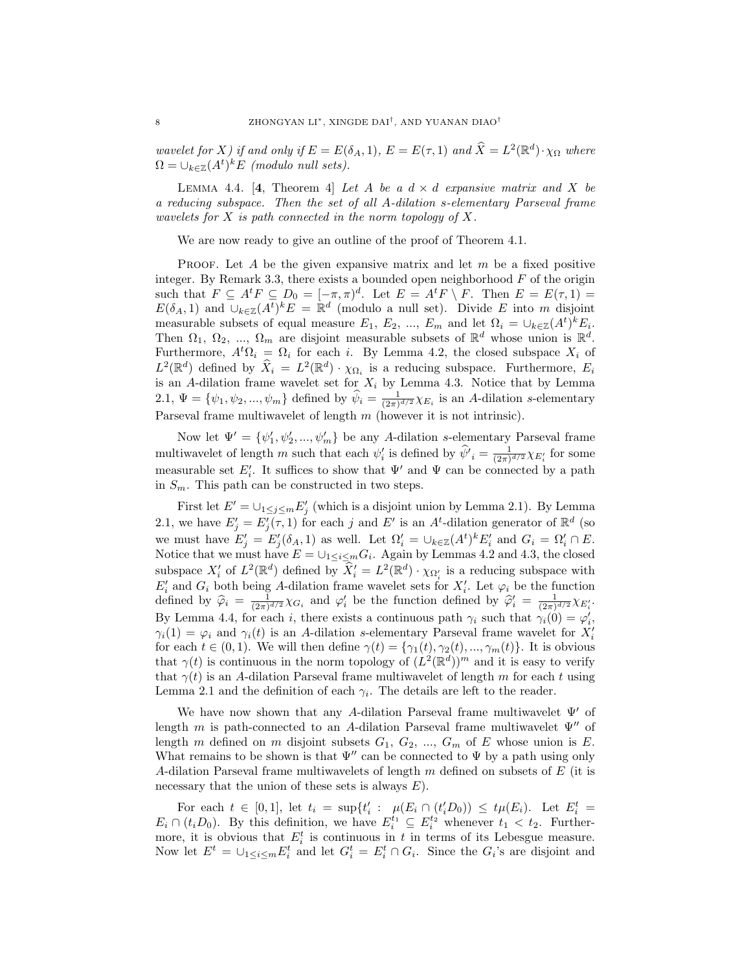wavelet for X) if and only if  $E = E(\delta_A, 1)$ ,  $E = E(\tau, 1)$  and  $\hat{X} = L^2(\mathbb{R}^d) \cdot \chi_{\Omega}$  where  $\Omega = \bigcup_{k \in \mathbb{Z}} (A^t)^k E$  (modulo null sets).

LEMMA 4.4. [4, Theorem 4] Let A be a  $d \times d$  expansive matrix and X be a reducing subspace. Then the set of all A-dilation s-elementary Parseval frame wavelets for  $X$  is path connected in the norm topology of  $X$ .

We are now ready to give an outline of the proof of Theorem 4.1.

PROOF. Let A be the given expansive matrix and let  $m$  be a fixed positive integer. By Remark 3.3, there exists a bounded open neighborhood  $F$  of the origin such that  $F \subseteq A^t F \subseteq D_0 = [-\pi, \pi)^d$ . Let  $E = A^t F \setminus F$ . Then  $E = E(\tau, 1) =$  $E(\delta_A, 1)$  and  $\cup_{k \in \mathbb{Z}} (A^t)^k E = \mathbb{R}^d$  (modulo a null set). Divide E into m disjoint measurable subsets of equal measure  $E_1, E_2, ..., E_m$  and let  $\Omega_i = \bigcup_{k \in \mathbb{Z}} (A^t)^k E_i$ . Then  $\Omega_1, \Omega_2, \ldots, \Omega_m$  are disjoint measurable subsets of  $\mathbb{R}^d$  whose union is  $\mathbb{R}^d$ . Furthermore,  $A<sup>t</sup> \Omega_i = \Omega_i$  for each i. By Lemma 4.2, the closed subspace  $X_i$  of  $L^2(\mathbb{R}^d)$  defined by  $\widehat{X}_i = L^2(\mathbb{R}^d) \cdot \chi_{\Omega_i}$  is a reducing subspace. Furthermore,  $E_i$ is an A-dilation frame wavelet set for  $X_i$  by Lemma 4.3. Notice that by Lemma 2.1,  $\Psi = {\psi_1, \psi_2, ..., \psi_m}$  defined by  $\hat{\psi}_i = \frac{1}{(2\pi)^{d/2}} \chi_{E_i}$  is an A-dilation s-elementary Parseval frame multiwavelet of length  $m$  (however it is not intrinsic).

Now let  $\Psi' = {\psi'_1, \psi'_2, ..., \psi'_m}$  be any A-dilation s-elementary Parseval frame multiwavelet of length m such that each  $\psi'_i$  is defined by  $\hat{\psi'}_i = \frac{1}{(2\pi)^{d/2}} \chi_{E'_i}$  for some measurable set  $E'_i$ . It suffices to show that  $\Psi'$  and  $\Psi$  can be connected by a path in  $S_m$ . This path can be constructed in two steps.

First let  $E' = \bigcup_{1 \leq j \leq m} E'_j$  (which is a disjoint union by Lemma 2.1). By Lemma 2.1, we have  $E'_j = E'_j(\tau, 1)$  for each j and E' is an A<sup>t</sup>-dilation generator of  $\mathbb{R}^d$  (so we must have  $E'_j = E'_j(\delta_A, 1)$  as well. Let  $\Omega'_i = \bigcup_{k \in \mathbb{Z}} (A^t)^k E'_i$  and  $G_i = \Omega'_i \cap E$ . Notice that we must have  $E = \bigcup_{1 \leq i \leq m} G_i$ . Again by Lemmas 4.2 and 4.3, the closed subspace  $X'_i$  of  $L^2(\mathbb{R}^d)$  defined by  $\widehat{X}'_i = L^2(\mathbb{R}^d) \cdot \chi_{\Omega'_i}$  is a reducing subspace with  $E'_i$  and  $G_i$  both being A-dilation frame wavelet sets for  $X'_i$ . Let  $\varphi_i$  be the function defined by  $\hat{\varphi}_i = \frac{1}{(2\pi)^{d/2}} \chi_{G_i}$  and  $\varphi'_i$  be the function defined by  $\hat{\varphi}'_i = \frac{1}{(2\pi)^{d/2}} \chi_{E'_i}$ . By Lemma 4.4, for each *i*, there exists a continuous path  $\gamma_i$  such that  $\gamma_i(0) = \varphi'_i$ ,  $\gamma_i(1) = \varphi_i$  and  $\gamma_i(t)$  is an A-dilation s-elementary Parseval frame wavelet for  $X_i'$ for each  $t \in (0,1)$ . We will then define  $\gamma(t) = {\gamma_1(t), \gamma_2(t), ..., \gamma_m(t)}$ . It is obvious that  $\gamma(t)$  is continuous in the norm topology of  $(L^2(\mathbb{R}^d))^m$  and it is easy to verify that  $\gamma(t)$  is an A-dilation Parseval frame multiwavelet of length m for each t using Lemma 2.1 and the definition of each  $\gamma_i$ . The details are left to the reader.

We have now shown that any A-dilation Parseval frame multiwavelet  $\Psi'$  of length m is path-connected to an A-dilation Parseval frame multiwavelet  $\Psi''$  of length m defined on m disjoint subsets  $G_1, G_2, ..., G_m$  of E whose union is E. What remains to be shown is that  $\Psi''$  can be connected to  $\Psi$  by a path using only A-dilation Parseval frame multiwavelets of length  $m$  defined on subsets of  $E$  (it is necessary that the union of these sets is always  $E$ ).

For each  $t \in [0,1]$ , let  $t_i = \sup\{t'_i : \mu(E_i \cap (t'_i D_0)) \le t\mu(E_i)$ . Let  $E_i^t =$  $E_i \cap (t_i D_0)$ . By this definition, we have  $E_i^{t_1} \subseteq E_i^{t_2}$  whenever  $t_1 < t_2$ . Furthermore, it is obvious that  $E_i^t$  is continuous in t in terms of its Lebesgue measure. Now let  $E^t = \bigcup_{1 \leq i \leq m} E_i^t$  and let  $G_i^t = E_i^t \cap G_i$ . Since the  $G_i$ 's are disjoint and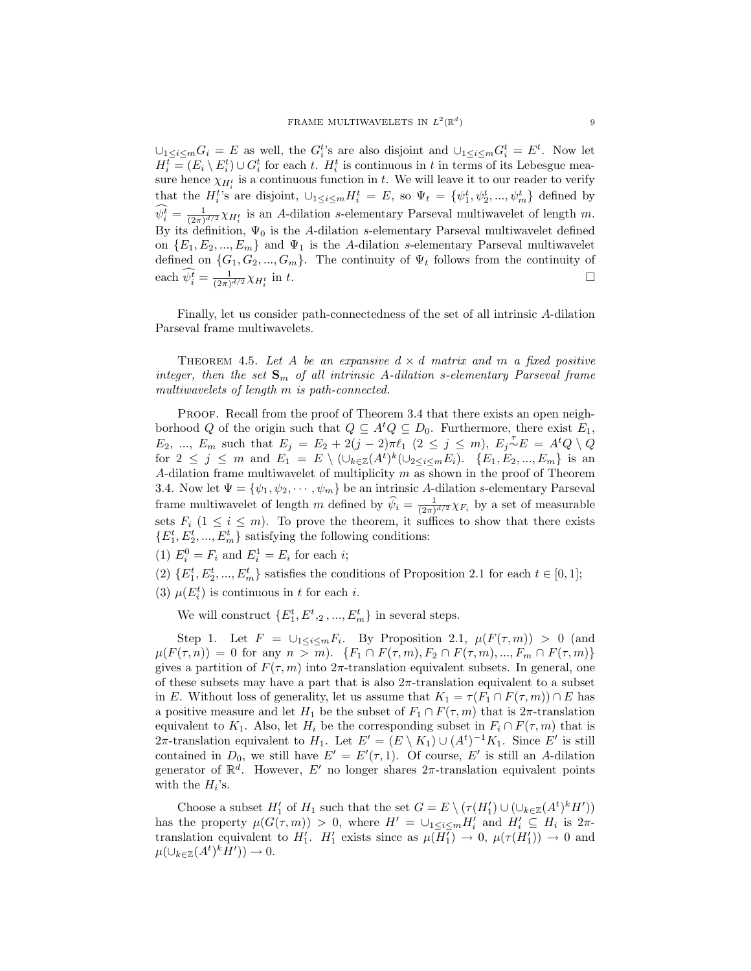$\cup_{1 \leq i \leq m} G_i = E$  as well, the  $G_i^t$ 's are also disjoint and  $\cup_{1 \leq i \leq m} G_i^t = E^t$ . Now let  $H_i^t = (E_i \setminus E_i^t) \cup G_i^t$  for each t.  $H_i^t$  is continuous in t in terms of its Lebesgue measure hence  $\chi_{H_i^t}$  is a continuous function in t. We will leave it to our reader to verify that the  $H_i^t$ 's are disjoint,  $\cup_{1 \leq i \leq m} H_i^t = E$ , so  $\Psi_t = {\psi_1^t, \psi_2^t, ..., \psi_m^t}$  defined by  $\widehat{\psi_i^t} = \frac{1}{(2\pi)^{d/2}} \chi_{H_i^t}$  is an A-dilation s-elementary Parseval multiwavelet of length m. By its definition,  $\Psi_0$  is the A-dilation s-elementary Parseval multiwavelet defined on  $\{E_1, E_2, ..., E_m\}$  and  $\Psi_1$  is the A-dilation s-elementary Parseval multiwavelet defined on  $\{G_1, G_2, ..., G_m\}$ . The continuity of  $\Psi_t$  follows from the continuity of each  $\widehat{\psi_i^t} = \frac{1}{(2\pi)^{d/2}} \chi_{H_i^t}$ in t.  $\Box$ 

Finally, let us consider path-connectedness of the set of all intrinsic A-dilation Parseval frame multiwavelets.

THEOREM 4.5. Let A be an expansive  $d \times d$  matrix and m a fixed positive integer, then the set  $S_m$  of all intrinsic A-dilation s-elementary Parseval frame multiwavelets of length m is path-connected.

PROOF. Recall from the proof of Theorem 3.4 that there exists an open neighborhood Q of the origin such that  $Q \subseteq A^t Q \subseteq D_0$ . Furthermore, there exist  $E_1$ ,  $E_2, ..., E_m$  such that  $E_j = E_2 + 2(j-2)\pi \ell_1 \ (2 \leq j \leq m), E_j \sim E = A^t Q \setminus Q$ for  $2 \leq j \leq m$  and  $E_1 = E \setminus (\cup_{k \in \mathbb{Z}} (A^t)^k (\cup_{2 \leq i \leq m} E_i)$ .  $\{E_1, E_2, ..., E_m\}$  is an A-dilation frame multiwavelet of multiplicity  $m$  as shown in the proof of Theorem 3.4. Now let  $\Psi = {\psi_1, \psi_2, \cdots, \psi_m}$  be an intrinsic A-dilation s-elementary Parseval frame multiwavelet of length m defined by  $\hat{\psi}_i = \frac{1}{(2\pi)^{d/2}} \chi_{F_i}$  by a set of measurable sets  $F_i$  ( $1 \leq i \leq m$ ). To prove the theorem, it suffices to show that there exists  $\{E_1^t, E_2^t, ..., E_m^t\}$  satisfying the following conditions:

- (1)  $E_i^0 = F_i$  and  $E_i^1 = E_i$  for each *i*;
- (2)  $\{E_1^t, E_2^t, ..., E_m^t\}$  satisfies the conditions of Proposition 2.1 for each  $t \in [0, 1]$ ;
- (3)  $\mu(E_i^t)$  is continuous in t for each i.

We will construct  $\{E_1^t, E^t, 2, ..., E_m^t\}$  in several steps.

Step 1. Let  $F = \bigcup_{1 \leq i \leq m} F_i$ . By Proposition 2.1,  $\mu(F(\tau,m)) > 0$  (and  $\mu(F(\tau, n)) = 0$  for any  $n > m$ ).  $\{F_1 \cap F(\tau, m), F_2 \cap F(\tau, m), ..., F_m \cap F(\tau, m)\}\$ gives a partition of  $F(\tau, m)$  into  $2\pi$ -translation equivalent subsets. In general, one of these subsets may have a part that is also  $2\pi$ -translation equivalent to a subset in E. Without loss of generality, let us assume that  $K_1 = \tau(F_1 \cap F(\tau, m)) \cap E$  has a positive measure and let  $H_1$  be the subset of  $F_1 \cap F(\tau,m)$  that is  $2\pi$ -translation equivalent to  $K_1$ . Also, let  $H_i$  be the corresponding subset in  $F_i \cap F(\tau,m)$  that is 2π-translation equivalent to  $H_1$ . Let  $E' = (E \setminus K_1) \cup (A^t)^{-1} K_1$ . Since E' is still contained in  $D_0$ , we still have  $E' = E'(\tau, 1)$ . Of course, E' is still an A-dilation generator of  $\mathbb{R}^d$ . However, E' no longer shares  $2\pi$ -translation equivalent points with the  $H_i$ 's.

Choose a subset  $H'_1$  of  $H_1$  such that the set  $G = E \setminus (\tau(H'_1) \cup (\cup_{k \in \mathbb{Z}} (A^t)^k H'))$ has the property  $\mu(G(\tau,m)) > 0$ , where  $H' = \bigcup_{1 \leq i \leq m} H'_i$  and  $H'_i \subseteq H_i$  is  $2\pi$ translation equivalent to  $H'_1$ .  $H'_1$  exists since as  $\mu(\overline{H'_1}) \to 0$ ,  $\mu(\tau(H'_1)) \to 0$  and  $\mu(\cup_{k\in\mathbb{Z}}(A^t)^kH'))\to 0.$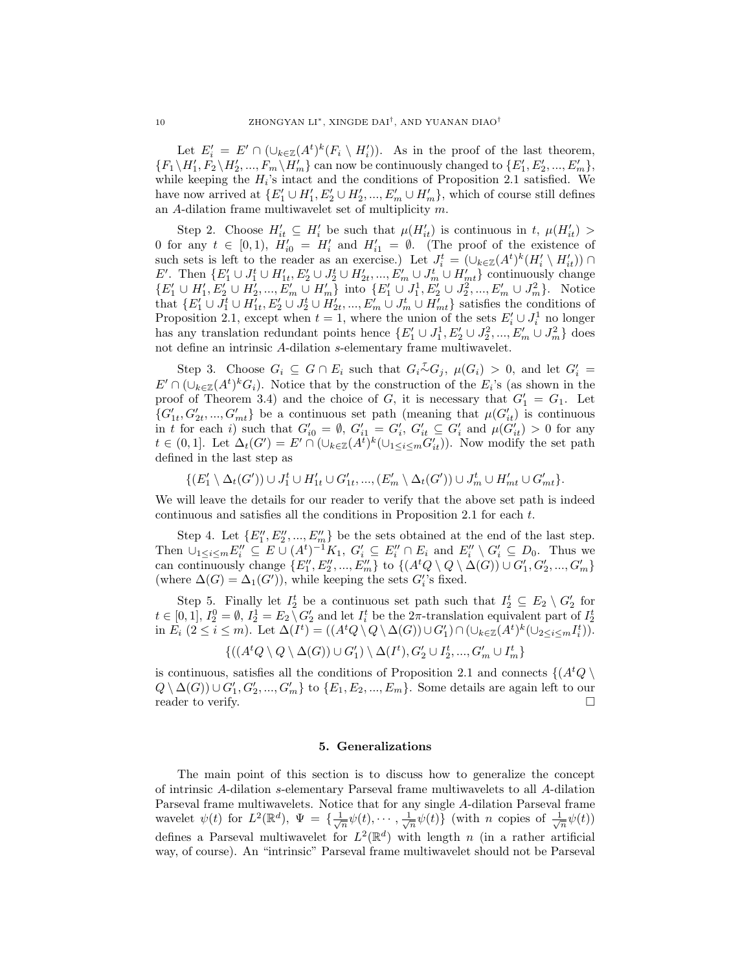Let  $E_i' = E' \cap (\cup_{k \in \mathbb{Z}} (A^t)^k (F_i \setminus H_i')).$  As in the proof of the last theorem,  $\{F_1 \setminus H'_1, F_2 \setminus H'_2, ..., F_m \setminus H'_m\}$  can now be continuously changed to  $\{E'_1, E'_2, ..., E'_m\}$ , while keeping the  $H_i$ 's intact and the conditions of Proposition 2.1 satisfied. We have now arrived at  $\{E_1' \cup H_1', E_2' \cup H_2', ..., E_m' \cup H_m'\}$ , which of course still defines an A-dilation frame multiwavelet set of multiplicity m.

Step 2. Choose  $H'_{it} \subseteq H'_{i}$  be such that  $\mu(H'_{it})$  is continuous in t,  $\mu(H'_{it}) >$ 0 for any  $t \in [0,1)$ ,  $H'_{i0} = H'_{i}$  and  $H'_{i1} = \emptyset$ . (The proof of the existence of such sets is left to the reader as an exercise.) Let  $J_i^t = (\cup_{k \in \mathbb{Z}} (A^t)^k (H_i' \setminus H_{it}')) \cap$ E'. Then  $\{E_1' \cup J_1' \cup H_{1t}', E_2' \cup J_2' \cup H_{2t}', ..., E_m' \cup J_m^t \cup H_{mt}'\}$  continuously change  $\{E_1' \cup H_1', E_2' \cup H_2', ..., E_m' \cup H_m'\}\$ into  $\{E_1' \cup J_1^1, E_2' \cup J_2^2, ..., E_m' \cup J_m^2\}$ . Notice that  $\{E_1' \cup J_1^t \cup H_{1t}', E_2' \cup J_2^t \cup H_{2t}',..., E_m' \cup J_m^t \cup H_{mt}'\}$  satisfies the conditions of Proposition 2.1, except when  $t = 1$ , where the union of the sets  $E'_i \cup J_i^1$  no longer has any translation redundant points hence  $\{E'_1 \cup J_1^1, E'_2 \cup J_2^2, ..., E'_m \cup J_m^2\}$  does not define an intrinsic A-dilation s-elementary frame multiwavelet.

Step 3. Choose  $G_i \subseteq G \cap E_i$  such that  $G_i \sim^{\tau} G_j$ ,  $\mu(G_i) > 0$ , and let  $G'_i =$  $E' \cap (\cup_{k \in \mathbb{Z}} (A^t)^k G_i)$ . Notice that by the construction of the  $E_i$ 's (as shown in the proof of Theorem 3.4) and the choice of G, it is necessary that  $G_1' = G_1$ . Let  $\{G'_{1t}, G'_{2t}, ..., G'_{mt}\}\$ be a continuous set path (meaning that  $\mu(G'_{it})$ ) is continuous in t for each i) such that  $G'_{i0} = \emptyset$ ,  $G'_{i1} = G'_{i}$ ,  $G'_{it} \subseteq G'_{i}$  and  $\mu(G'_{it}) > 0$  for any  $t \in (0,1]$ . Let  $\Delta_t(G') = E' \cap (\cup_{k \in \mathbb{Z}} (A^t)^k (\cup_{1 \leq i \leq m} G'_{it}))$ . Now modify the set path defined in the last step as

 $\{ (E_1' \setminus \Delta_t(G')) \cup J_1^t \cup H'_{1t} \cup G'_{1t}, ..., (E_m' \setminus \Delta_t(G')) \cup J_m^t \cup H'_{mt} \cup G'_{mt} \}.$ 

We will leave the details for our reader to verify that the above set path is indeed continuous and satisfies all the conditions in Proposition 2.1 for each t.

Step 4. Let  $\{E''_1, E''_2, ..., E''_m\}$  be the sets obtained at the end of the last step. Then  $\cup_{1\leq i\leq m} E_i'' \subseteq E \cup (A^t)^{-1}K_1$ ,  $G_i' \subseteq E_i'' \cap E_i$  and  $E_i'' \setminus G_i' \subseteq D_0$ . Thus we can continuously change  $\{E''_1, E''_2, ..., E''_m\}$  to  $\{(A^tQ \setminus Q \setminus \Delta(G)) \cup G'_1, G'_2, ..., G'_m\}$ (where  $\Delta(G) = \Delta_1(G')$ ), while keeping the sets  $G_i'$ 's fixed.

Step 5. Finally let  $I_2^t$  be a continuous set path such that  $I_2^t \subseteq E_2 \setminus G_2'$  for  $t \in [0,1], I_2^0 = \emptyset, I_2^1 = E_2 \setminus G_2'$  and let  $I_i^t$  be the  $2\pi$ -translation equivalent part of  $I_2^t$ in  $E_i$   $(2 \leq i \leq m)$ . Let  $\Delta(I^t) = ((A^t Q \setminus Q \setminus \Delta(G)) \cup G'_1) \cap (\cup_{k \in \mathbb{Z}} (A^t)^k (\cup_{2 \leq i \leq m} I_i^t)).$ 

$$
\{((AtQ \setminus Q \setminus \Delta(G)) \cup G'_1) \setminus \Delta(I^t), G'_2 \cup I_2^t, ..., G'_m \cup I_m^t\}
$$

is continuous, satisfies all the conditions of Proposition 2.1 and connects  $\{(A^{t}Q)$  $Q \setminus \Delta(G)$ ) ∪  $G'_1, G'_2, ..., G'_m$ } to  $\{E_1, E_2, ..., E_m\}$ . Some details are again left to our reader to verify.  $\Box$ 

#### 5. Generalizations

The main point of this section is to discuss how to generalize the concept of intrinsic A-dilation s-elementary Parseval frame multiwavelets to all A-dilation Parseval frame multiwavelets. Notice that for any single A-dilation Parseval frame wavelet  $\psi(t)$  for  $L^2(\mathbb{R}^d)$ ,  $\Psi = {\frac{1}{\sqrt{n}}\psi(t), \cdots, \frac{1}{\sqrt{n}}\psi(t)}$  (with *n* copies of  $\frac{1}{\sqrt{n}}\psi(t)$ ) defines a Parseval multiwavelet for  $L^2(\mathbb{R}^d)$  with length n (in a rather artificial way, of course). An "intrinsic" Parseval frame multiwavelet should not be Parseval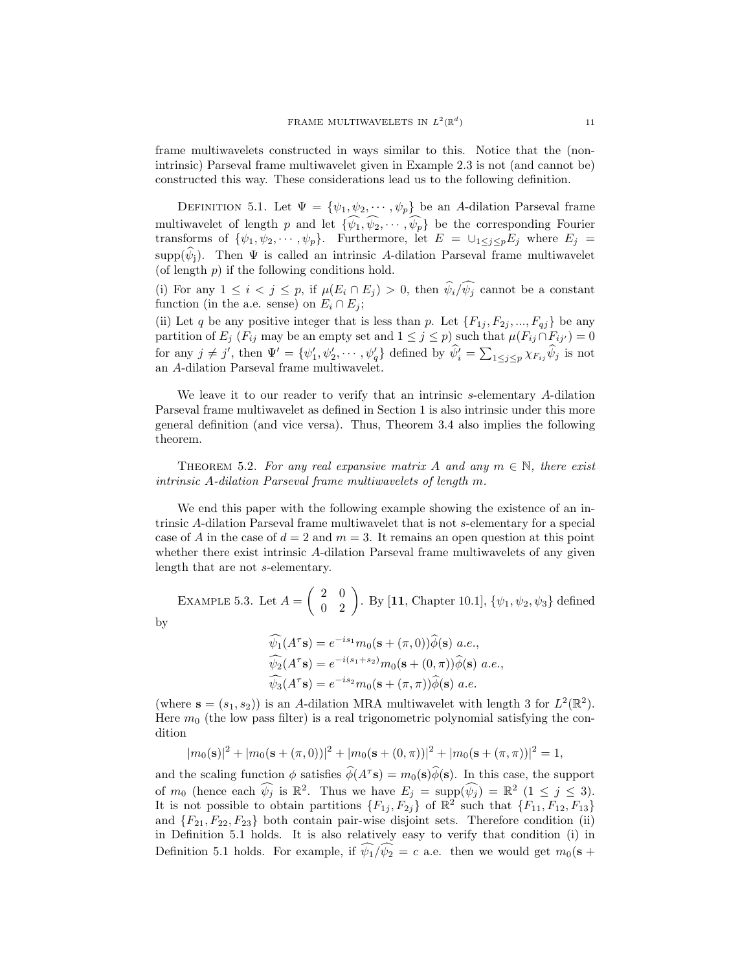frame multiwavelets constructed in ways similar to this. Notice that the (nonintrinsic) Parseval frame multiwavelet given in Example 2.3 is not (and cannot be) constructed this way. These considerations lead us to the following definition.

DEFINITION 5.1. Let  $\Psi = {\psi_1, \psi_2, \cdots, \psi_p}$  be an A-dilation Parseval frame multiwavelet of length p and let  $\{\widehat{\psi_1}, \widehat{\psi_2}, \cdots, \widehat{\psi_p}\}$  be the corresponding Fourier transforms of  $\{\psi_1, \psi_2, \cdots, \psi_p\}$ . Furthermore, let  $E = \bigcup_{1 \leq j \leq p} E_j$  where  $E_j =$ supp $(\psi_i)$ . Then  $\Psi$  is called an intrinsic A-dilation Parseval frame multiwavelet (of length  $p$ ) if the following conditions hold.

(i) For any  $1 \leq i < j \leq p$ , if  $\mu(E_i \cap E_j) > 0$ , then  $\widehat{\psi}_i / \widehat{\psi}_j$  cannot be a constant function (in the a.e. sense) on  $E_i \cap E_j$ ;

(ii) Let q be any positive integer that is less than p. Let  $\{F_{1j}, F_{2j}, ..., F_{qj}\}$  be any partition of  $E_j$  ( $F_{ij}$  may be an empty set and  $1 \leq j \leq p$ ) such that  $\mu(F_{ij} \cap F_{ij'}) = 0$ for any  $j \neq j'$ , then  $\Psi' = {\psi'_1, \psi'_2, \cdots, \psi'_q}$  defined by  $\hat{\psi'_i} = \sum_{1 \leq j \leq p} \chi_{F_{ij}} \hat{\psi}_j$  is not an A-dilation Parseval frame multiwavelet.

We leave it to our reader to verify that an intrinsic s-elementary A-dilation Parseval frame multiwavelet as defined in Section 1 is also intrinsic under this more general definition (and vice versa). Thus, Theorem 3.4 also implies the following theorem.

THEOREM 5.2. For any real expansive matrix A and any  $m \in \mathbb{N}$ , there exist intrinsic A-dilation Parseval frame multiwavelets of length m.

We end this paper with the following example showing the existence of an intrinsic A-dilation Parseval frame multiwavelet that is not s-elementary for a special case of A in the case of  $d = 2$  and  $m = 3$ . It remains an open question at this point whether there exist intrinsic A-dilation Parseval frame multiwavelets of any given length that are not s-elementary.

EXAMPLE 5.3. Let  $A =$  $\begin{pmatrix} 2 & 0 \\ 0 & 2 \end{pmatrix}$ . By [11, Chapter 10.1],  $\{\psi_1, \psi_2, \psi_3\}$  defined

by

$$
\widehat{\psi}_1(A^{\tau} \mathbf{s}) = e^{-is_1} m_0(\mathbf{s} + (\pi, 0)) \widehat{\phi}(\mathbf{s}) \ a.e.,
$$
  

$$
\widehat{\psi}_2(A^{\tau} \mathbf{s}) = e^{-i(s_1 + s_2)} m_0(\mathbf{s} + (0, \pi)) \widehat{\phi}(\mathbf{s}) \ a.e.,
$$
  

$$
\widehat{\psi}_3(A^{\tau} \mathbf{s}) = e^{-is_2} m_0(\mathbf{s} + (\pi, \pi)) \widehat{\phi}(\mathbf{s}) \ a.e.
$$

(where  $\mathbf{s} = (s_1, s_2)$ ) is an A-dilation MRA multiwavelet with length 3 for  $L^2(\mathbb{R}^2)$ . Here  $m_0$  (the low pass filter) is a real trigonometric polynomial satisfying the condition

$$
|m_0(\mathbf{s})|^2 + |m_0(\mathbf{s} + (\pi, 0))|^2 + |m_0(\mathbf{s} + (0, \pi))|^2 + |m_0(\mathbf{s} + (\pi, \pi))|^2 = 1,
$$

and the scaling function  $\phi$  satisfies  $\widehat{\phi}(A^{\tau} s) = m_0(s)\widehat{\phi}(s)$ . In this case, the support of  $m_0$  (hence each  $\widehat{\psi_j}$  is  $\mathbb{R}^2$ . Thus we have  $E_j = \text{supp}(\widehat{\psi_j}) = \mathbb{R}^2 \ (1 \leq j \leq 3)$ . It is not possible to obtain partitions  $\{F_{1j}, F_{2j}\}\$  of  $\mathbb{R}^2$  such that  $\{F_{11}, F_{12}, F_{13}\}\$ and  ${F_{21}, F_{22}, F_{23}}$  both contain pair-wise disjoint sets. Therefore condition (ii) in Definition 5.1 holds. It is also relatively easy to verify that condition (i) in Definition 5.1 holds. For example, if  $\widehat{\psi_1}/\widehat{\psi_2} = c$  a.e. then we would get  $m_0(\mathbf{s} + \mathbf{c})$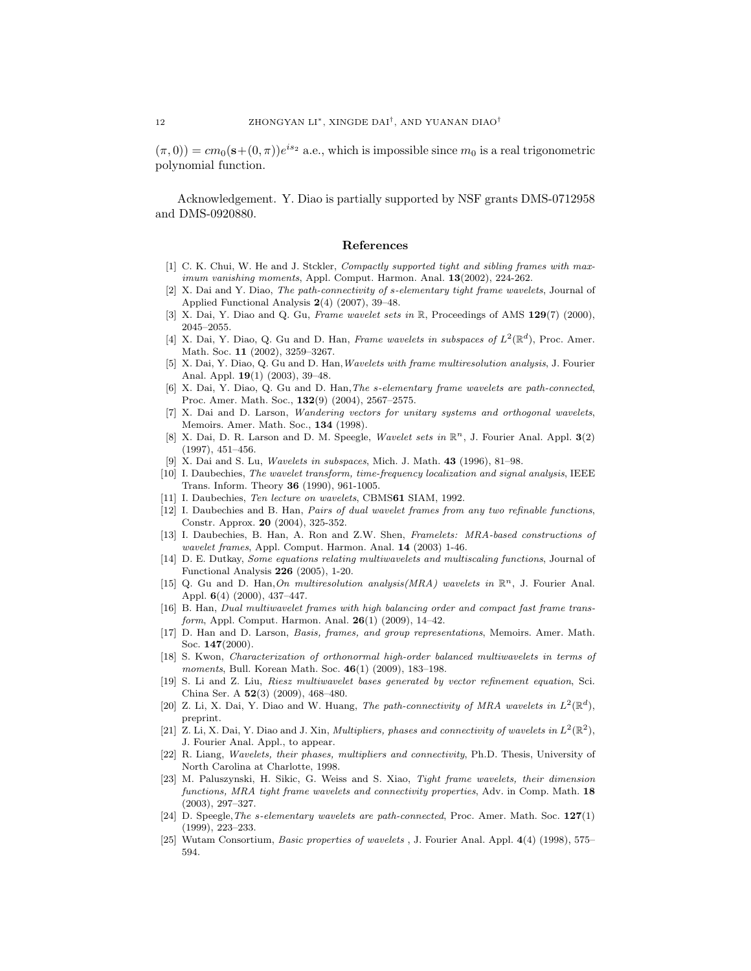$(\pi, 0)$  =  $cm_0$  (s +  $(0, \pi)$ ) $e^{is_2}$  a.e., which is impossible since  $m_0$  is a real trigonometric polynomial function.

Acknowledgement. Y. Diao is partially supported by NSF grants DMS-0712958 and DMS-0920880.

#### References

- [1] C. K. Chui, W. He and J. Stckler, *Compactly supported tight and sibling frames with max*imum vanishing moments, Appl. Comput. Harmon. Anal. 13(2002), 224-262.
- [2] X. Dai and Y. Diao, The path-connectivity of s-elementary tight frame wavelets, Journal of Applied Functional Analysis 2(4) (2007), 39–48.
- [3] X. Dai, Y. Diao and Q. Gu, Frame wavelet sets in R, Proceedings of AMS 129(7) (2000), 2045–2055.
- [4] X. Dai, Y. Diao, Q. Gu and D. Han, Frame wavelets in subspaces of  $L^2(\mathbb{R}^d)$ , Proc. Amer. Math. Soc. 11 (2002), 3259–3267.
- [5] X. Dai, Y. Diao, Q. Gu and D. Han,Wavelets with frame multiresolution analysis, J. Fourier Anal. Appl. 19(1) (2003), 39–48.
- [6] X. Dai, Y. Diao, Q. Gu and D. Han,The s-elementary frame wavelets are path-connected, Proc. Amer. Math. Soc., 132(9) (2004), 2567–2575.
- [7] X. Dai and D. Larson, Wandering vectors for unitary systems and orthogonal wavelets, Memoirs. Amer. Math. Soc., 134 (1998).
- [8] X. Dai, D. R. Larson and D. M. Speegle, Wavelet sets in  $\mathbb{R}^n$ , J. Fourier Anal. Appl.  $3(2)$ (1997), 451–456.
- [9] X. Dai and S. Lu, Wavelets in subspaces, Mich. J. Math. 43 (1996), 81–98.
- [10] I. Daubechies, The wavelet transform, time-frequency localization and signal analysis, IEEE Trans. Inform. Theory 36 (1990), 961-1005.
- [11] I. Daubechies, Ten lecture on wavelets, CBMS61 SIAM, 1992.
- [12] I. Daubechies and B. Han, Pairs of dual wavelet frames from any two refinable functions, Constr. Approx. 20 (2004), 325-352.
- [13] I. Daubechies, B. Han, A. Ron and Z.W. Shen, Framelets: MRA-based constructions of wavelet frames, Appl. Comput. Harmon. Anal. 14 (2003) 1-46.
- [14] D. E. Dutkay, Some equations relating multiwavelets and multiscaling functions, Journal of Functional Analysis 226 (2005), 1-20.
- [15] Q. Gu and D. Han, On multiresolution analysis(MRA) wavelets in  $\mathbb{R}^n$ , J. Fourier Anal. Appl. 6(4) (2000), 437–447.
- [16] B. Han, Dual multiwavelet frames with high balancing order and compact fast frame transform, Appl. Comput. Harmon. Anal. 26(1) (2009), 14-42.
- [17] D. Han and D. Larson, Basis, frames, and group representations, Memoirs. Amer. Math. Soc. 147(2000).
- [18] S. Kwon, Characterization of orthonormal high-order balanced multiwavelets in terms of moments, Bull. Korean Math. Soc. 46(1) (2009), 183-198.
- [19] S. Li and Z. Liu, Riesz multiwavelet bases generated by vector refinement equation, Sci. China Ser. A 52(3) (2009), 468–480.
- [20] Z. Li, X. Dai, Y. Diao and W. Huang, The path-connectivity of MRA wavelets in  $L^2(\mathbb{R}^d)$ , preprint.
- [21] Z. Li, X. Dai, Y. Diao and J. Xin, *Multipliers, phases and connectivity of wavelets in*  $L^2(\mathbb{R}^2)$ , J. Fourier Anal. Appl., to appear.
- [22] R. Liang, Wavelets, their phases, multipliers and connectivity, Ph.D. Thesis, University of North Carolina at Charlotte, 1998.
- [23] M. Paluszynski, H. Sikic, G. Weiss and S. Xiao, Tight frame wavelets, their dimension functions, MRA tight frame wavelets and connectivity properties, Adv. in Comp. Math. 18 (2003), 297–327.
- [24] D. Speegle, The s-elementary wavelets are path-connected, Proc. Amer. Math. Soc. 127(1) (1999), 223–233.
- [25] Wutam Consortium, Basic properties of wavelets , J. Fourier Anal. Appl. 4(4) (1998), 575– 594.